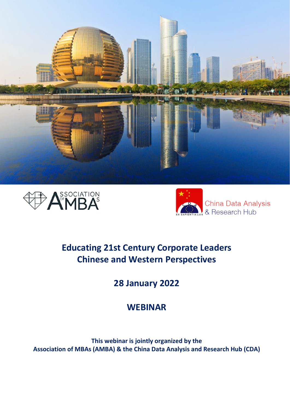





# **Educating 21st Century Corporate Leaders Chinese and Western Perspectives**

**28 January 2022**

# **WEBINAR**

**This webinar is jointly organized by the Association of MBAs (AMBA) & the China Data Analysis and Research Hub (CDA)**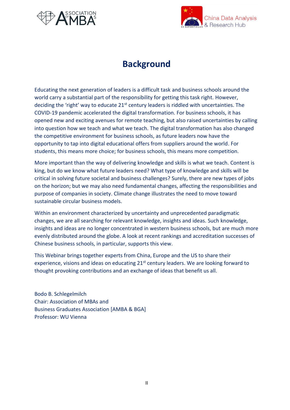



# **Background**

Educating the next generation of leaders is a difficult task and business schools around the world carry a substantial part of the responsibility for getting this task right. However, deciding the 'right' way to educate  $21<sup>st</sup>$  century leaders is riddled with uncertainties. The COVID-19 pandemic accelerated the digital transformation. For business schools, it has opened new and exciting avenues for remote teaching, but also raised uncertainties by calling into question how we teach and what we teach. The digital transformation has also changed the competitive environment for business schools, as future leaders now have the opportunity to tap into digital educational offers from suppliers around the world. For students, this means more choice; for business schools, this means more competition.

More important than the way of delivering knowledge and skills is what we teach. Content is king, but do we know what future leaders need? What type of knowledge and skills will be critical in solving future societal and business challenges? Surely, there are new types of jobs on the horizon; but we may also need fundamental changes, affecting the responsibilities and purpose of companies in society. Climate change illustrates the need to move toward sustainable circular business models.

Within an environment characterized by uncertainty and unprecedented paradigmatic changes, we are all searching for relevant knowledge, insights and ideas. Such knowledge, insights and ideas are no longer concentrated in western business schools, but are much more evenly distributed around the globe. A look at recent rankings and accreditation successes of Chinese business schools, in particular, supports this view.

This Webinar brings together experts from China, Europe and the US to share their experience, visions and ideas on educating 21<sup>st</sup> century leaders. We are looking forward to thought provoking contributions and an exchange of ideas that benefit us all.

Bodo B. Schlegelmilch Chair: Association of MBAs and Business Graduates Association [AMBA & BGA] Professor: WU Vienna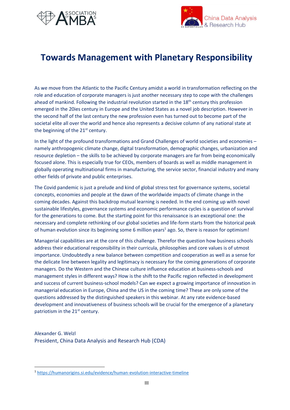



# **Towards Management with Planetary Responsibility**

As we move from the Atlantic to the Pacific Century amidst a world in transformation reflecting on the role and education of corporate managers is just another necessary step to cope with the challenges ahead of mankind. Following the industrial revolution started in the 18<sup>th</sup> century this profession emerged in the 20ies century in Europe and the United States as a novel job description. However in the second half of the last century the new profession even has turned out to become part of the societal elite all over the world and hence also represents a decisive column of any national state at the beginning of the 21<sup>st</sup> century.

In the light of the profound transformations and Grand Challenges of world societies and economies – namely anthropogenic climate change, digital transformation, demographic changes, urbanization and resource depletion – the skills to be achieved by corporate managers are far from being economically focused alone. This is especially true for CEOs, members of boards as well as middle management in globally operating multinational firms in manufacturing, the service sector, financial industry and many other fields of private and public enterprises.

The Covid pandemic is just a prelude and kind of global stress test for governance systems, societal concepts, economies and people at the dawn of the worldwide impacts of climate change in the coming decades. Against this backdrop mutual learning is needed. In the end coming up with novel sustainable lifestyles, governance systems and economic performance cycles is a question of survival for the generations to come. But the starting point for this renaissance is an exceptional one: the necessary and complete rethinking of our global societies and life-form starts from the historical peak of human evolution since its beginning some 6 million years<sup>1</sup> ago. So, there is reason for optimism!

Managerial capabilities are at the core of this challenge. Therefor the question how business schools address their educational responsibility in their curricula, philosophies and core values is of utmost importance. Undoubtedly a new balance between competition and cooperation as well as a sense for the delicate line between legality and legitimacy is necessary for the coming generations of corporate managers. Do the Western and the Chinese culture influence education at business-schools and management styles in different ways? How is the shift to the Pacific region reflected in development and success of current business-school models? Can we expect a growing importance of innovation in managerial education in Europe, China and the US in the coming time? These are only some of the questions addressed by the distinguished speakers in this webinar. At any rate evidence-based development and innovativeness of business schools will be crucial for the emergence of a planetary patriotism in the 21<sup>st</sup> century.

Alexander G. Welzl President, China Data Analysis and Research Hub (CDA)

<sup>1</sup> <https://humanorigins.si.edu/evidence/human-evolution-interactive-timeline>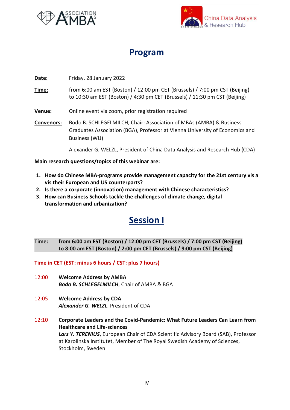



# **Program**

## **Date:** Friday, 28 January 2022

- **Time:** from 6:00 am EST (Boston) / 12:00 pm CET (Brussels) / 7:00 pm CST (Beijing) to 10:30 am EST (Boston) / 4:30 pm CET (Brussels) / 11:30 pm CST (Beijing)
- **Venue:** Online event via zoom, prior registration required
- **Convenors:** Bodo B. SCHLEGELMILCH, Chair: Association of MBAs (AMBA) & Business Graduates Association (BGA), Professor at Vienna University of Economics and Business (WU)

Alexander G. WELZL, President of China Data Analysis and Research Hub (CDA)

#### **Main research questions/topics of this webinar are:**

- **1. How do Chinese MBA-programs provide management capacity for the 21st century vis a vis their European and US counterparts?**
- **2. Is there a corporate (innovation) management with Chinese characteristics?**
- **3. How can Business Schools tackle the challenges of climate change, digital transformation and urbanization?**

# **Session I**

### **Time: from 6:00 am EST (Boston) / 12:00 pm CET (Brussels) / 7:00 pm CST (Beijing) to 8:00 am EST (Boston) / 2:00 pm CET (Brussels) / 9:00 pm CST (Beijing)**

#### **Time in CET (EST: minus 6 hours / CST: plus 7 hours)**

- 12:00 **Welcome Address by AMBA** *Bodo B. SCHLEGELMILCH*, Chair of AMBA & BGA
- 12:05 **Welcome Address by CDA** *Alexander G. WELZL*, President of CDA
- 12:10 **Corporate Leaders and the Covid-Pandemic: What Future Leaders Can Learn from Healthcare and Life-sciences** *Lars Y. TERENIUS*, European Chair of CDA Scientific Advisory Board (SAB), Professor at Karolinska Institutet, Member of The Royal Swedish Academy of Sciences, Stockholm, Sweden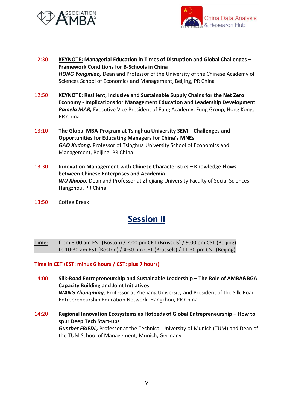



- 12:30 **KEYNOTE: Managerial Education in Times of Disruption and Global Challenges – Framework Conditions for B-Schools in China** *HONG Yongmiao,* Dean and Professor of the University of the Chinese Academy of Sciences School of Economics and Management, Beijing, PR China
- 12:50 **KEYNOTE: Resilient, Inclusive and Sustainable Supply Chains for the Net Zero Economy - Implications for Management Education and Leadership Development** Pamela MAR, Executive Vice President of Fung Academy, Fung Group, Hong Kong, PR China
- 13:10 **The Global MBA-Program at Tsinghua University SEM – Challenges and Opportunities for Educating Managers for China's MNEs** *GAO Xudong,* Professor of Tsinghua University School of Economics and Management, Beijing, PR China
- 13:30 **Innovation Management with Chinese Characteristics – Knowledge Flows between Chinese Enterprises and Academia** *WU Xiaobo,* Dean and Professor at Zhejiang University Faculty of Social Sciences, Hangzhou, PR China
- 13:50 Coffee Break

# **Session II**

**Time:** from 8:00 am EST (Boston) / 2:00 pm CET (Brussels) / 9:00 pm CST (Beijing) to 10:30 am EST (Boston) / 4:30 pm CET (Brussels) / 11:30 pm CST (Beijing)

#### **Time in CET (EST: minus 6 hours / CST: plus 7 hours)**

- 14:00 **Silk-Road Entrepreneurship and Sustainable Leadership – The Role of AMBA&BGA Capacity Building and Joint Initiatives** *WANG Zhongming,* Professor at Zhejiang University and President of the Silk-Road Entrepreneurship Education Network, Hangzhou, PR China
- 14:20 **Regional Innovation Ecosystems as Hotbeds of Global Entrepreneurship – How to spur Deep Tech Start-ups** *Gunther FRIEDL,* Professor at the Technical University of Munich (TUM) and Dean of the TUM School of Management, Munich, Germany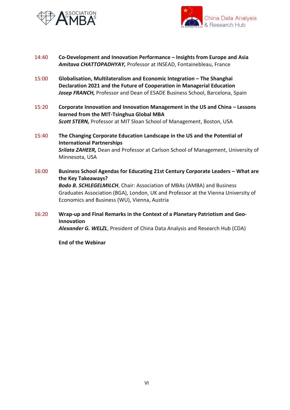



- 14:40 **Co-Development and Innovation Performance – Insights from Europe and Asia** *Amitava CHATTOPADHYAY,* Professor at INSEAD, Fontainebleau, France
- 15:00 **Globalisation, Multilateralism and Economic Integration – The Shanghai Declaration 2021 and the Future of Cooperation in Managerial Education** Josep FRANCH, Professor and Dean of ESADE Business School, Barcelona, Spain
- 15:20 **Corporate Innovation and Innovation Management in the US and China – Lessons learned from the MIT-Tsinghua Global MBA** *Scott STERN,* Professor at MIT Sloan School of Management, Boston, USA
- 15:40 **The Changing Corporate Education Landscape in the US and the Potential of International Partnerships** *Srilata ZAHEER,* Dean and Professor at Carlson School of Management, University of Minnesota, USA
- 16:00 **Business School Agendas for Educating 21st Century Corporate Leaders – What are the Key Takeaways?** *Bodo B. SCHLEGELMILCH*, Chair: Association of MBAs (AMBA) and Business Graduates Association (BGA), London, UK and Professor at the Vienna University of Economics and Business (WU), Vienna, Austria
- 16:20 **Wrap-up and Final Remarks in the Context of a Planetary Patriotism and Geo-Innovation** *Alexander G. WELZL*, President of China Data Analysis and Research Hub (CDA)

**End of the Webinar**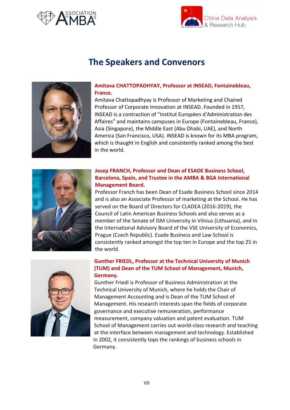



## **The Speakers and Convenors**



#### **Amitava CHATTOPADHYAY, Professor at INSEAD, Fontainebleau, France.**

Amitava Chattopadhyay is Professor of Marketing and Chaired Professor of Corporate Innovation at INSEAD. Founded in 1957, INSEAD is a contraction of "Institut Européen d'Administration des Affaires" and maintains campuses in Europe (Fontainebleau, France), Asia (Singapore), the Middle East (Abu Dhabi, UAE), and North America (San Francisco, USA). INSEAD is known for its MBA program, which is thaught in English and consistently ranked among the best in the world.



## **Josep FRANCH, Professor and Dean of ESADE Business School, Barcelona, Spain, and Trustee in the AMBA & BGA International Management Board.**

Professor Franch has been Dean of Esade Business School since 2014 and is also an Associate Professor of marketing at the School. He has served on the Board of Directors for CLADEA (2016-2019), the Council of Latin American Business Schools and also serves as a member of the Senate of ISM University in Vilnius (Lithuania), and in the International Advisory Board of the VSE University of Economics, Prague (Czech Republic). Esade Business and Law School is consistently ranked amongst the top ten in Europe and the top 25 in the world.



#### **Gunther FRIEDL, Professor at the Technical University of Munich (TUM) and Dean of the TUM School of Management, Munich, Germany.**

Gunther Friedl is Professor of Business Administration at the Technical University of Munich, where he holds the Chair of Management Accounting and is Dean of the TUM School of Management. His research interests span the fields of corporate governance and executive remuneration, performance measurement, company valuation and patent evaluation. TUM School of Management carries out world-class research and teaching at the interface between management and technology. Established in 2002, it consistently tops the rankings of business schools in Germany.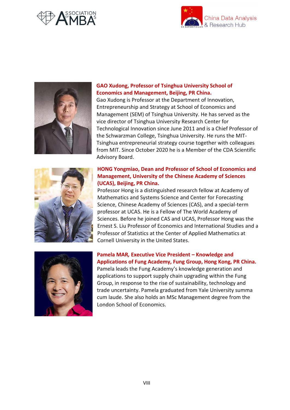





#### **GAO Xudong, Professor of Tsinghua University School of Economics and Management, Beijing, PR China.**

Gao Xudong is Professor at the Department of Innovation, Entrepreneurship and Strategy at School of Economics and Management (SEM) of Tsinghua University. He has served as the vice director of Tsinghua University Research Center for Technological Innovation since June 2011 and is a Chief Professor of the Schwarzman College, Tsinghua University. He runs the MIT-Tsinghua entrepreneurial strategy course together with colleagues from MIT. Since October 2020 he is a Member of the CDA Scientific Advisory Board.



## **HONG Yongmiao, Dean and Professor of School of Economics and Management, University of the Chinese Academy of Sciences (UCAS), Beijing, PR China.**

Professor Hong is a distinguished research fellow at Academy of Mathematics and Systems Science and Center for Forecasting Science, Chinese Academy of Sciences (CAS), and a special-term professor at UCAS. He is a Fellow of The World Academy of Sciences. Before he joined CAS and UCAS, Professor Hong was the Ernest S. Liu Professor of Economics and International Studies and a Professor of Statistics at the Center of Applied Mathematics at Cornell University in the United States.



### **Pamela MAR***,* **Executive Vice President – Knowledge and Applications of Fung Academy, Fung Group, Hong Kong, PR China.** Pamela leads the Fung Academy's knowledge generation and

applications to support supply chain upgrading within the Fung Group, in response to the rise of sustainability, technology and trade uncertainty. Pamela graduated from Yale University summa cum laude. She also holds an MSc Management degree from the London School of Economics.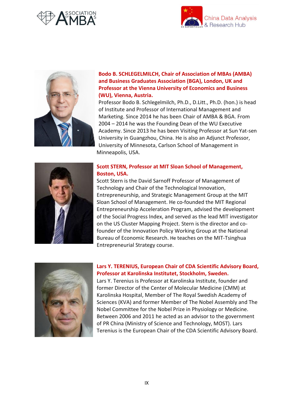





## **Bodo B. SCHLEGELMILCH, Chair of Association of MBAs (AMBA) and Business Graduates Association (BGA), London, UK and Professor at the Vienna University of Economics and Business (WU), Vienna, Austria.**

Professor Bodo B. Schlegelmilch, Ph.D., D.Litt., Ph.D. (hon.) is head of Institute and Professor of International Management and Marketing. Since 2014 he has been Chair of AMBA & BGA. From 2004 – 2014 he was the Founding Dean of the WU Executive Academy. Since 2013 he has been Visiting Professor at Sun Yat-sen University in Guangzhou, China. He is also an Adjunct Professor, University of Minnesota, Carlson School of Management in Minneapolis, USA.



#### **Scott STERN, Professor at MIT Sloan School of Management, Boston, USA.**

Scott Stern is the David Sarnoff Professor of Management of Technology and Chair of the Technological Innovation, Entrepreneurship, and Strategic Management Group at the MIT Sloan School of Management. He co-founded the MIT Regional Entrepreneurship Acceleration Program, advised the development of the Social Progress Index, and served as the lead MIT investigator on the US Cluster Mapping Project. Stern is the director and cofounder of the Innovation Policy Working Group at the National Bureau of Economic Research. He teaches on the MIT-Tsinghua Entrepreneurial Strategy course.



### **Lars Y. TERENIUS, European Chair of CDA Scientific Advisory Board, Professor at Karolinska Institutet, Stockholm, Sweden.**

Lars Y. Terenius is Professor at Karolinska Institute, founder and former Director of the Center of Molecular Medicine (CMM) at Karolinska Hospital, Member of The Royal Swedish Academy of Sciences (KVA) and former Member of The Nobel Assembly and The Nobel Committee for the Nobel Prize in Physiology or Medicine. Between 2006 and 2011 he acted as an advisor to the government of PR China (Ministry of Science and Technology, MOST). Lars Terenius is the European Chair of the CDA Scientific Advisory Board.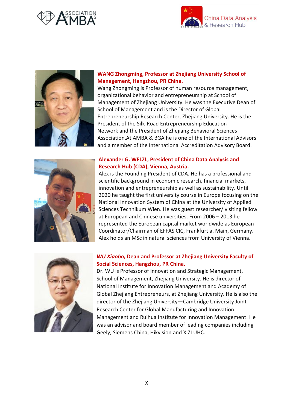





## **WANG Zhongming, Professor at Zhejiang University School of Management, Hangzhou, PR China.**

Wang Zhongming is Professor of human resource management, organizational behavior and entrepreneurship at School of Management of Zhejiang University. He was the Executive Dean of School of Management and is the Director of Global Entrepreneurship Research Center, Zhejiang University. He is the President of the Silk-Road Entrepreneurship Education Network and the President of Zhejiang Behavioral Sciences Association.At AMBA & BGA he is one of the International Advisors and a member of the International Accreditation Advisory Board.



#### **Alexander G. WELZL, President of China Data Analysis and Research Hub (CDA), Vienna, Austria.**

Alex is the Founding President of CDA. He has a professional and scientific background in economic research, financial markets, innovation and entrepreneurship as well as sustainability. Until 2020 he taught the first university course in Europe focusing on the National Innovation System of China at the University of Applied Sciences Technikum Wien. He was guest researcher/ visiting fellow at European and Chinese universities. From 2006 – 2013 he represented the European capital market worldwide as European Coordinator/Chairman of EFFAS CIC, Frankfurt a. Main, Germany. Alex holds an MSc in natural sciences from University of Vienna.



### *WU Xiaobo,* **Dean and Professor at Zhejiang University Faculty of Social Sciences, Hangzhou, PR China.**

Dr. WU is Professor of Innovation and Strategic Management, School of Management, Zhejiang University. He is director of National Institute for Innovation Management and Academy of Global Zhejiang Entrepreneurs, at Zhejiang University. He is also the director of the Zhejiang University—Cambridge University Joint Research Center for Global Manufacturing and Innovation Management and Ruihua Institute for Innovation Management. He was an advisor and board member of leading companies including Geely, Siemens China, Hikvision and XIZI UHC.